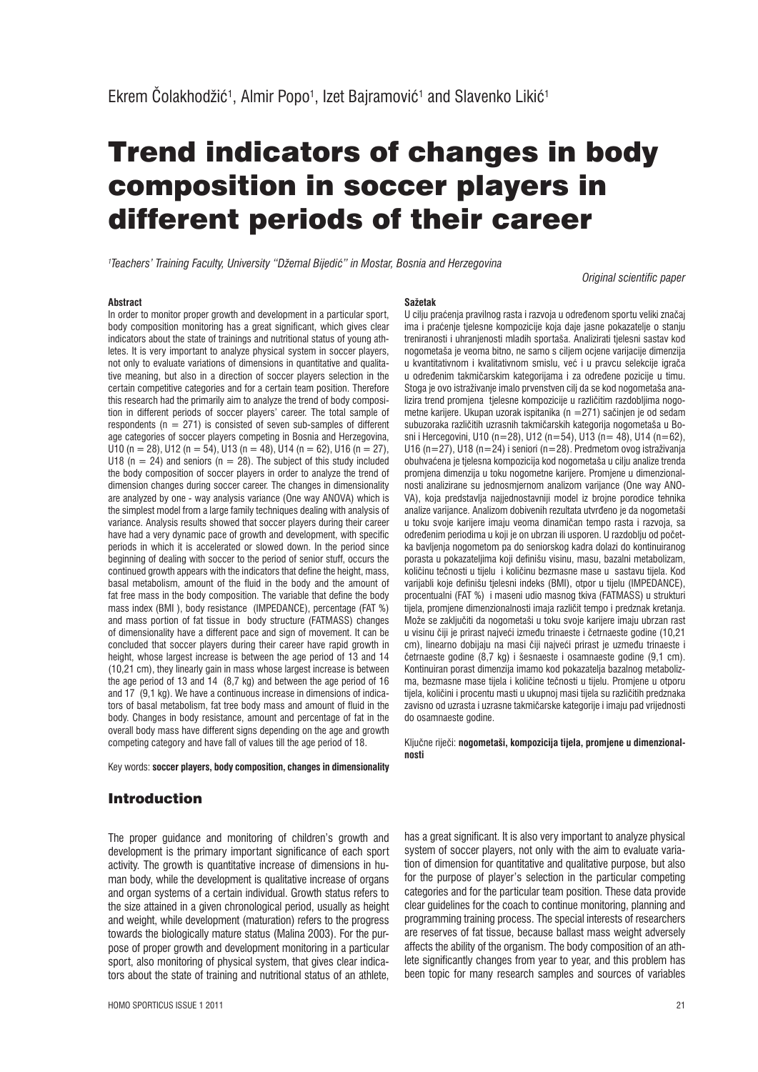# Trend indicators of changes in body composition in soccer players in different periods of their career

**Sažetak**

*1 Teachers' Training Faculty, University "Džemal Bijediþ" in Mostar, Bosnia and Herzegovina*

*Original scientific paper*

#### **Abstract**

In order to monitor proper growth and development in a particular sport, body composition monitoring has a great significant, which gives clear indicators about the state of trainings and nutritional status of young athletes. It is very important to analyze physical system in soccer players, not only to evaluate variations of dimensions in quantitative and qualitative meaning, but also in a direction of soccer players selection in the certain competitive categories and for a certain team position. Therefore this research had the primarily aim to analyze the trend of body composition in different periods of soccer players' career. The total sample of respondents ( $n = 271$ ) is consisted of seven sub-samples of different age categories of soccer players competing in Bosnia and Herzegovina, U10 (n = 28), U12 (n = 54), U13 (n = 48), U14 (n = 62), U16 (n = 27), U18  $(n = 24)$  and seniors  $(n = 28)$ . The subject of this study included the body composition of soccer players in order to analyze the trend of dimension changes during soccer career. The changes in dimensionality are analyzed by one - way analysis variance (One way ANOVA) which is the simplest model from a large family techniques dealing with analysis of variance. Analysis results showed that soccer players during their career have had a very dynamic pace of growth and development, with specific periods in which it is accelerated or slowed down. In the period since beginning of dealing with soccer to the period of senior stuff, occurs the continued growth appears with the indicators that define the height, mass, basal metabolism, amount of the fluid in the body and the amount of fat free mass in the body composition. The variable that define the body mass index (BMI ), body resistance (IMPEDANCE), percentage (FAT %) and mass portion of fat tissue in body structure (FATMASS) changes of dimensionality have a different pace and sign of movement. It can be concluded that soccer players during their career have rapid growth in height, whose largest increase is between the age period of 13 and 14 (10,21 cm), they linearly gain in mass whose largest increase is between the age period of 13 and 14 (8,7 kg) and between the age period of 16 and 17 (9,1 kg). We have a continuous increase in dimensions of indicators of basal metabolism, fat tree body mass and amount of fluid in the body. Changes in body resistance, amount and percentage of fat in the overall body mass have different signs depending on the age and growth competing category and have fall of values till the age period of 18.

Key words: **soccer players, body composition, changes in dimensionality**

U cilju praćenja pravilnog rasta i razvoja u određenom sportu veliki značaj ima i praćenje tjelesne kompozicije koja daje jasne pokazatelje o stanju treniranosti i uhranjenosti mladih sportaša. Analizirati tjelesni sastav kod nogometaša je veoma bitno, ne samo s ciljem ocjene varijacije dimenzija u kvantitativnom i kvalitativnom smislu, već i u pravcu selekcije igrača u određenim takmičarskim kategorijama i za određene pozicije u timu. Stoga je ovo istraživanje imalo prvenstven cilj da se kod nogometaša analizira trend promjena tjelesne kompozicije u različitim razdobljima nogometne karijere. Ukupan uzorak ispitanika (n  $=$  271) sačinjen je od sedam subuzoraka različitih uzrasnih takmičarskih kategorija nogometaša u Bosni i Hercegovini, U10 (n=28), U12 (n=54), U13 (n= 48), U14 (n=62), U16 (n=27), U18 (n=24) i seniori (n=28). Predmetom ovog istraživanja obuhvaćena je tjelesna kompozicija kod nogometaša u cilju analize trenda promjena dimenzija u toku nogometne karijere. Promjene u dimenzionalnosti analizirane su jednosmjernom analizom varijance (One way ANO-VA), koja predstavlja najjednostavniji model iz brojne porodice tehnika analize varijance. Analizom dobivenih rezultata utvrāeno je da nogometaši u toku svoje karijere imaju veoma dinamičan tempo rasta i razvoja, sa određenim periodima u koji je on ubrzan ili usporen. U razdoblju od početka bavljenja nogometom pa do seniorskog kadra dolazi do kontinuiranog porasta u pokazateljima koji definišu visinu, masu, bazalni metabolizam, količinu tečnosti u tijelu i količinu bezmasne mase u sastavu tijela. Kod varijabli koje definišu tielesni indeks (BMI), otpor u tijelu (IMPEDANCE), procentualni (FAT %) i maseni udio masnog tkiva (FATMASS) u strukturi tijela, promjene dimenzionalnosti imaja različit tempo i predznak kretanja. Može se zaključiti da nogometaši u toku svoje karijere imaju ubrzan rast u visinu čiji je prirast najveći između trinaeste i četrnaeste godine (10,21 cm), linearno dobijaju na masi čiji najveći prirast je uzmeđu trinaeste i četrnaeste godine (8,7 kg) i šesnaeste i osamnaeste godine (9,1 cm). Kontinuiran porast dimenzija imamo kod pokazatelja bazalnog metabolizma, bezmasne mase tijela i količine tečnosti u tijelu. Promjene u otporu tijela, količini i procentu masti u ukupnoj masi tijela su različitih predznaka zavisno od uzrasta i uzrasne takmičarske kategorije i imaju pad vrijednosti do osamnaeste godine.

Ključne riječi: nogometaši, kompozicija tijela, promjene u dimenzional**nosti**

# Introduction

The proper guidance and monitoring of children's growth and development is the primary important significance of each sport activity. The growth is quantitative increase of dimensions in human body, while the development is qualitative increase of organs and organ systems of a certain individual. Growth status refers to the size attained in a given chronological period, usually as height and weight, while development (maturation) refers to the progress towards the biologically mature status (Malina 2003). For the purpose of proper growth and development monitoring in a particular sport, also monitoring of physical system, that gives clear indicators about the state of training and nutritional status of an athlete,

HOMO SPORTICUS ISSUE 1 2011 21

has a great significant. It is also very important to analyze physical system of soccer players, not only with the aim to evaluate variation of dimension for quantitative and qualitative purpose, but also for the purpose of player's selection in the particular competing categories and for the particular team position. These data provide clear guidelines for the coach to continue monitoring, planning and programming training process. The special interests of researchers are reserves of fat tissue, because ballast mass weight adversely affects the ability of the organism. The body composition of an athlete significantly changes from year to year, and this problem has been topic for many research samples and sources of variables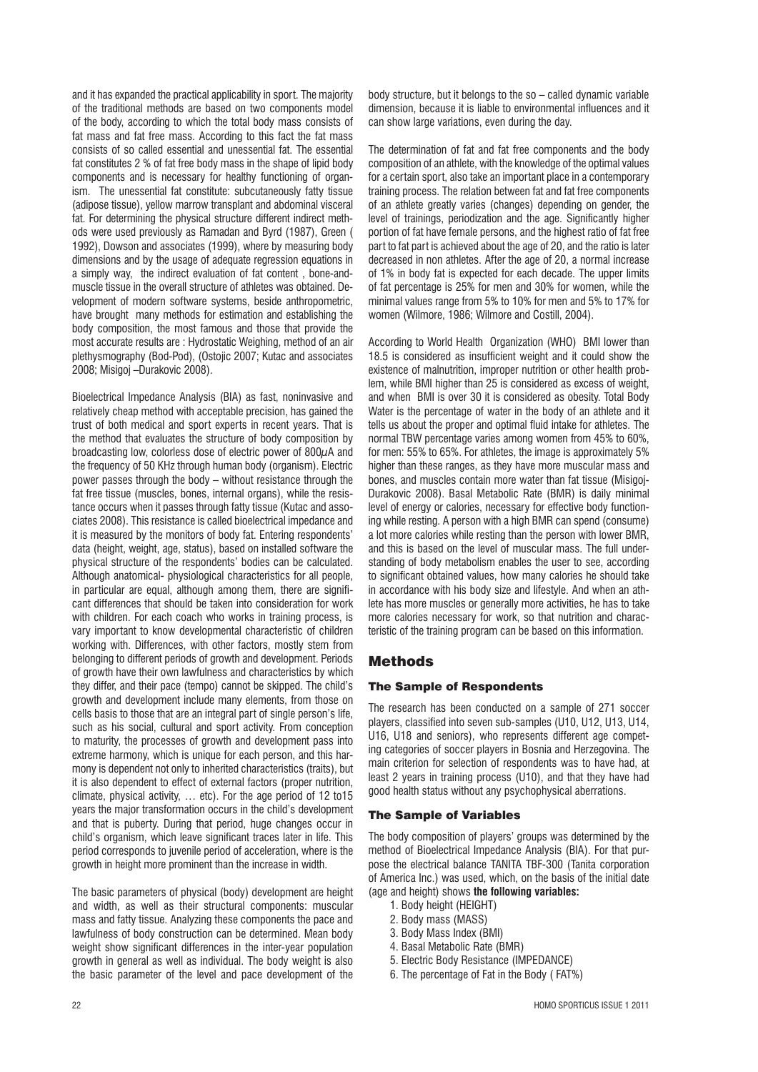and it has expanded the practical applicability in sport. The majority of the traditional methods are based on two components model of the body, according to which the total body mass consists of fat mass and fat free mass. According to this fact the fat mass consists of so called essential and unessential fat. The essential fat constitutes 2 % of fat free body mass in the shape of lipid body components and is necessary for healthy functioning of organism. The unessential fat constitute: subcutaneously fatty tissue (adipose tissue), yellow marrow transplant and abdominal visceral fat. For determining the physical structure different indirect methods were used previously as Ramadan and Byrd (1987), Green ( 1992), Dowson and associates (1999), where by measuring body dimensions and by the usage of adequate regression equations in a simply way, the indirect evaluation of fat content , bone-andmuscle tissue in the overall structure of athletes was obtained. Development of modern software systems, beside anthropometric, have brought many methods for estimation and establishing the body composition, the most famous and those that provide the most accurate results are : Hydrostatic Weighing, method of an air plethysmography (Bod-Pod), (Ostojic 2007; Kutac and associates 2008; Misigoj –Durakovic 2008).

Bioelectrical Impedance Analysis (BIA) as fast, noninvasive and relatively cheap method with acceptable precision, has gained the trust of both medical and sport experts in recent years. That is the method that evaluates the structure of body composition by broadcasting low, colorless dose of electric power of  $800\mu$ A and the frequency of 50 KHz through human body (organism). Electric power passes through the body – without resistance through the fat free tissue (muscles, bones, internal organs), while the resistance occurs when it passes through fatty tissue (Kutac and associates 2008). This resistance is called bioelectrical impedance and it is measured by the monitors of body fat. Entering respondents' data (height, weight, age, status), based on installed software the physical structure of the respondents' bodies can be calculated. Although anatomical- physiological characteristics for all people, in particular are equal, although among them, there are significant differences that should be taken into consideration for work with children. For each coach who works in training process, is vary important to know developmental characteristic of children working with. Differences, with other factors, mostly stem from belonging to different periods of growth and development. Periods of growth have their own lawfulness and characteristics by which they differ, and their pace (tempo) cannot be skipped. The child's growth and development include many elements, from those on cells basis to those that are an integral part of single person's life, such as his social, cultural and sport activity. From conception to maturity, the processes of growth and development pass into extreme harmony, which is unique for each person, and this harmony is dependent not only to inherited characteristics (traits), but it is also dependent to effect of external factors (proper nutrition, climate, physical activity, … etc). For the age period of 12 to15 years the major transformation occurs in the child's development and that is puberty. During that period, huge changes occur in child's organism, which leave significant traces later in life. This period corresponds to juvenile period of acceleration, where is the growth in height more prominent than the increase in width.

The basic parameters of physical (body) development are height and width, as well as their structural components: muscular mass and fatty tissue. Analyzing these components the pace and lawfulness of body construction can be determined. Mean body weight show significant differences in the inter-year population growth in general as well as individual. The body weight is also the basic parameter of the level and pace development of the

body structure, but it belongs to the so – called dynamic variable dimension, because it is liable to environmental influences and it can show large variations, even during the day.

The determination of fat and fat free components and the body composition of an athlete, with the knowledge of the optimal values for a certain sport, also take an important place in a contemporary training process. The relation between fat and fat free components of an athlete greatly varies (changes) depending on gender, the level of trainings, periodization and the age. Significantly higher portion of fat have female persons, and the highest ratio of fat free part to fat part is achieved about the age of 20, and the ratio is later decreased in non athletes. After the age of 20, a normal increase of 1% in body fat is expected for each decade. The upper limits of fat percentage is 25% for men and 30% for women, while the minimal values range from 5% to 10% for men and 5% to 17% for women (Wilmore, 1986; Wilmore and Costill, 2004).

According to World Health Organization (WHO) BMI lower than 18.5 is considered as insufficient weight and it could show the existence of malnutrition, improper nutrition or other health problem, while BMI higher than 25 is considered as excess of weight, and when BMI is over 30 it is considered as obesity. Total Body Water is the percentage of water in the body of an athlete and it tells us about the proper and optimal fluid intake for athletes. The normal TBW percentage varies among women from 45% to 60%, for men: 55% to 65%. For athletes, the image is approximately 5% higher than these ranges, as they have more muscular mass and bones, and muscles contain more water than fat tissue (Misigoj-Durakovic 2008). Basal Metabolic Rate (BMR) is daily minimal level of energy or calories, necessary for effective body functioning while resting. A person with a high BMR can spend (consume) a lot more calories while resting than the person with lower BMR, and this is based on the level of muscular mass. The full understanding of body metabolism enables the user to see, according to significant obtained values, how many calories he should take in accordance with his body size and lifestyle. And when an athlete has more muscles or generally more activities, he has to take more calories necessary for work, so that nutrition and characteristic of the training program can be based on this information.

# Methods

### The Sample of Respondents

The research has been conducted on a sample of 271 soccer players, classified into seven sub-samples (U10, U12, U13, U14, U16, U18 and seniors), who represents different age competing categories of soccer players in Bosnia and Herzegovina. The main criterion for selection of respondents was to have had, at least 2 years in training process (U10), and that they have had good health status without any psychophysical aberrations.

#### The Sample of Variables

The body composition of players' groups was determined by the method of Bioelectrical Impedance Analysis (BIA). For that purpose the electrical balance TANITA TBF-300 (Tanita corporation of America Inc.) was used, which, on the basis of the initial date (age and height) shows **the following variables:**

- 1. Body height (HEIGHT)
- 2. Body mass (MASS)
- 3. Body Mass Index (BMI)
- 4. Basal Metabolic Rate (BMR)
- 5. Electric Body Resistance (IMPEDANCE)
- 6. The percentage of Fat in the Body ( FAT%)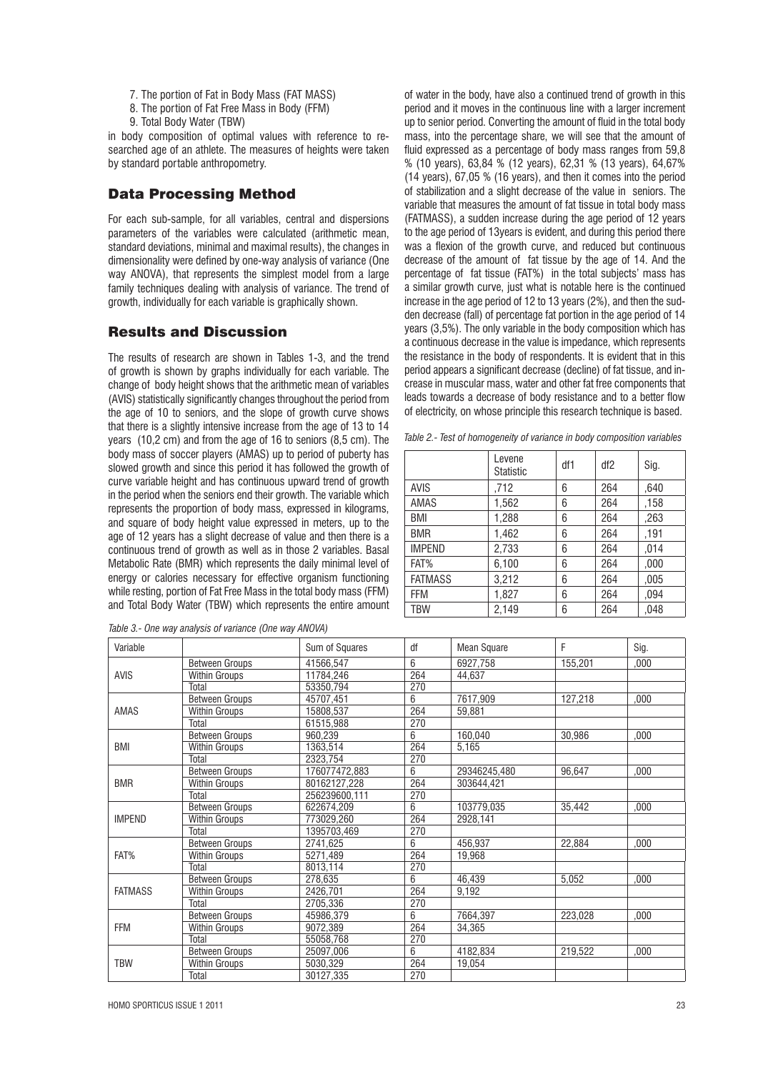- 7. The portion of Fat in Body Mass (FAT MASS)
- 8. The portion of Fat Free Mass in Body (FFM)
- 9. Total Body Water (TBW)

in body composition of optimal values with reference to researched age of an athlete. The measures of heights were taken by standard portable anthropometry.

# Data Processing Method

For each sub-sample, for all variables, central and dispersions parameters of the variables were calculated (arithmetic mean, standard deviations, minimal and maximal results), the changes in dimensionality were defined by one-way analysis of variance (One way ANOVA), that represents the simplest model from a large family techniques dealing with analysis of variance. The trend of growth, individually for each variable is graphically shown.

# Results and Discussion

The results of research are shown in Tables 1-3, and the trend of growth is shown by graphs individually for each variable. The change of body height shows that the arithmetic mean of variables (AVIS) statistically significantly changes throughout the period from the age of 10 to seniors, and the slope of growth curve shows that there is a slightly intensive increase from the age of 13 to 14 years (10,2 cm) and from the age of 16 to seniors (8,5 cm). The body mass of soccer players (AMAS) up to period of puberty has slowed growth and since this period it has followed the growth of curve variable height and has continuous upward trend of growth in the period when the seniors end their growth. The variable which represents the proportion of body mass, expressed in kilograms, and square of body height value expressed in meters, up to the age of 12 years has a slight decrease of value and then there is a continuous trend of growth as well as in those 2 variables. Basal Metabolic Rate (BMR) which represents the daily minimal level of energy or calories necessary for effective organism functioning while resting, portion of Fat Free Mass in the total body mass (FFM) and Total Body Water (TBW) which represents the entire amount

*Table 3.- One way analysis of variance (One way ANOVA)*

of water in the body, have also a continued trend of growth in this period and it moves in the continuous line with a larger increment up to senior period. Converting the amount of fluid in the total body mass, into the percentage share, we will see that the amount of fluid expressed as a percentage of body mass ranges from 59,8 % (10 years), 63,84 % (12 years), 62,31 % (13 years), 64,67% (14 years), 67,05 % (16 years), and then it comes into the period of stabilization and a slight decrease of the value in seniors. The variable that measures the amount of fat tissue in total body mass (FATMASS), a sudden increase during the age period of 12 years to the age period of 13years is evident, and during this period there was a flexion of the growth curve, and reduced but continuous decrease of the amount of fat tissue by the age of 14. And the percentage of fat tissue (FAT%) in the total subjects' mass has a similar growth curve, just what is notable here is the continued increase in the age period of 12 to 13 years (2%), and then the sudden decrease (fall) of percentage fat portion in the age period of 14 years (3,5%). The only variable in the body composition which has a continuous decrease in the value is impedance, which represents the resistance in the body of respondents. It is evident that in this period appears a significant decrease (decline) of fat tissue, and increase in muscular mass, water and other fat free components that leads towards a decrease of body resistance and to a better flow of electricity, on whose principle this research technique is based.

*Table 2.- Test of homogeneity of variance in body composition variables*

|                | Levene<br>Statistic | df1 | df2 | Sig. |
|----------------|---------------------|-----|-----|------|
| <b>AVIS</b>    | .712                | 6   | 264 | .640 |
| AMAS           | 1,562               | 6   | 264 | ,158 |
| BMI            | 1,288               | 6   | 264 | ,263 |
| <b>BMR</b>     | 1,462               | 6   | 264 | .191 |
| <b>IMPEND</b>  | 2,733               | 6   | 264 | ,014 |
| FAT%           | 6,100               | 6   | 264 | .000 |
| <b>FATMASS</b> | 3,212               | 6   | 264 | ,005 |
| <b>FFM</b>     | 1,827               | 6   | 264 | ,094 |
| <b>TBW</b>     | 2,149               | 6   | 264 | .048 |

| Variable       |                       | Sum of Squares | df  | <b>Mean Square</b> | F       | Sig.  |
|----------------|-----------------------|----------------|-----|--------------------|---------|-------|
| <b>AVIS</b>    | <b>Between Groups</b> | 41566.547      | 6   | 6927.758           | 155,201 | .000  |
|                | <b>Within Groups</b>  | 11784.246      | 264 | 44.637             |         |       |
|                | Total                 | 53350.794      | 270 |                    |         |       |
| AMAS           | <b>Between Groups</b> | 45707.451      | 6   | 7617,909           | 127,218 | .000. |
|                | <b>Within Groups</b>  | 15808.537      | 264 | 59,881             |         |       |
|                | Total                 | 61515.988      | 270 |                    |         |       |
| <b>BMI</b>     | <b>Between Groups</b> | 960,239        | 6   | 160,040            | 30.986  | .000. |
|                | Within Groups         | 1363.514       | 264 | 5,165              |         |       |
|                | Total                 | 2323.754       | 270 |                    |         |       |
|                | <b>Between Groups</b> | 176077472,883  | 6   | 29346245,480       | 96.647  | .000. |
| <b>BMR</b>     | Within Groups         | 80162127,228   | 264 | 303644,421         |         |       |
|                | Total                 | 256239600.111  | 270 |                    |         |       |
|                | Between Groups        | 622674.209     | 6   | 103779,035         | 35,442  | 000,  |
| <b>IMPEND</b>  | Within Groups         | 773029.260     | 264 | 2928,141           |         |       |
|                | Total                 | 1395703,469    | 270 |                    |         |       |
| FAT%           | Between Groups        | 2741,625       | 6   | 456,937            | 22,884  | .000. |
|                | <b>Within Groups</b>  | 5271,489       | 264 | 19.968             |         |       |
|                | Total                 | 8013.114       | 270 |                    |         |       |
| <b>FATMASS</b> | <b>Between Groups</b> | 278,635        | 6   | 46,439             | 5.052   | .000. |
|                | Within Groups         | 2426,701       | 264 | 9,192              |         |       |
|                | Total                 | 2705.336       | 270 |                    |         |       |
| <b>FFM</b>     | <b>Between Groups</b> | 45986,379      | 6   | 7664,397           | 223,028 | .000  |
|                | Within Groups         | 9072.389       | 264 | 34.365             |         |       |
|                | Total                 | 55058.768      | 270 |                    |         |       |
| <b>TBW</b>     | Between Groups        | 25097,006      | 6   | 4182,834           | 219,522 | 000,  |
|                | <b>Within Groups</b>  | 5030.329       | 264 | 19,054             |         |       |
|                | Total                 | 30127,335      | 270 |                    |         |       |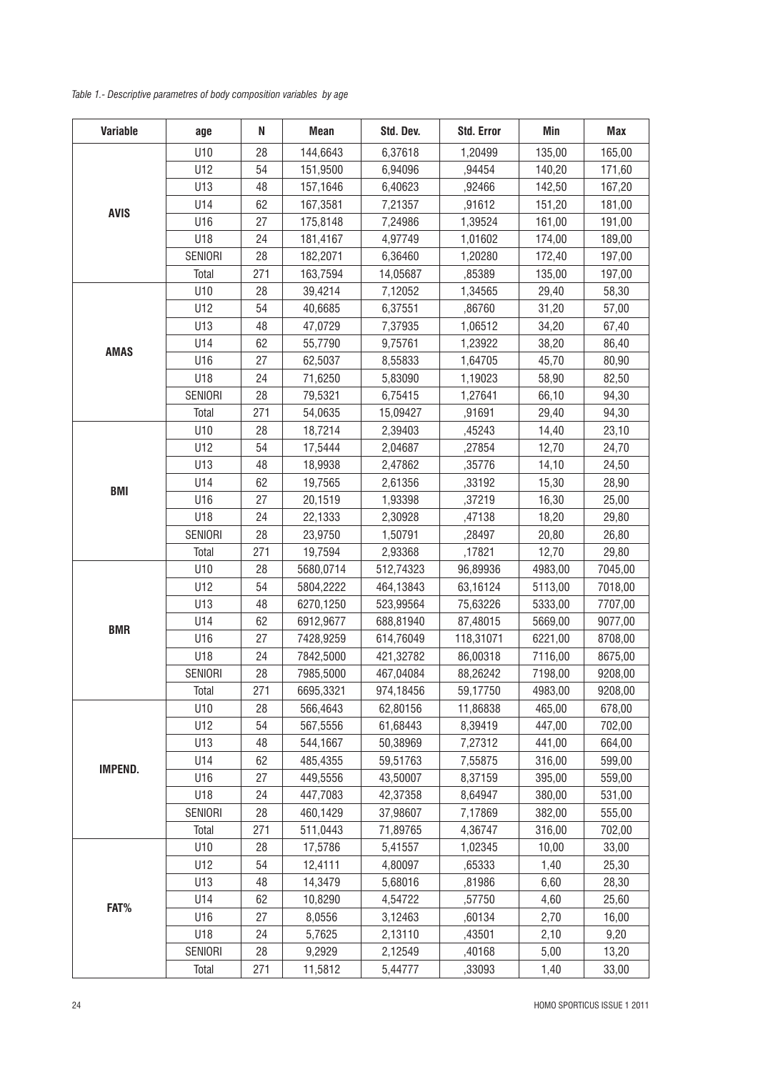*Table 1.- Descriptive parametres of body composition variables by age*

| Variable    | age     | N   | Mean      | Std. Dev. | Std. Error | Min     | Max     |
|-------------|---------|-----|-----------|-----------|------------|---------|---------|
| <b>AVIS</b> | U10     | 28  | 144,6643  | 6,37618   | 1,20499    | 135,00  | 165,00  |
|             | U12     | 54  | 151,9500  | 6,94096   | ,94454     | 140,20  | 171,60  |
|             | U13     | 48  | 157,1646  | 6,40623   | ,92466     | 142,50  | 167,20  |
|             | U14     | 62  | 167,3581  | 7,21357   | ,91612     | 151,20  | 181,00  |
|             | U16     | 27  | 175,8148  | 7,24986   | 1,39524    | 161,00  | 191,00  |
|             | U18     | 24  | 181,4167  | 4,97749   | 1,01602    | 174,00  | 189,00  |
|             | SENIORI | 28  | 182,2071  | 6,36460   | 1,20280    | 172,40  | 197,00  |
|             | Total   | 271 | 163,7594  | 14,05687  | ,85389     | 135,00  | 197,00  |
|             | U10     | 28  | 39,4214   | 7,12052   | 1,34565    | 29,40   | 58,30   |
|             | U12     | 54  | 40,6685   | 6,37551   | ,86760     | 31,20   | 57,00   |
|             | U13     | 48  | 47,0729   | 7,37935   | 1,06512    | 34,20   | 67,40   |
|             | U14     | 62  | 55,7790   | 9,75761   | 1,23922    | 38,20   | 86,40   |
| <b>AMAS</b> | U16     | 27  | 62,5037   | 8,55833   | 1,64705    | 45,70   | 80,90   |
|             | U18     | 24  | 71,6250   | 5,83090   | 1,19023    | 58,90   | 82,50   |
|             | SENIORI | 28  | 79,5321   | 6,75415   | 1,27641    | 66,10   | 94,30   |
|             | Total   | 271 | 54,0635   | 15,09427  | ,91691     | 29,40   | 94,30   |
|             | U10     | 28  | 18,7214   | 2,39403   | ,45243     | 14,40   | 23,10   |
|             | U12     | 54  | 17,5444   | 2,04687   | ,27854     | 12,70   | 24,70   |
|             | U13     | 48  | 18,9938   | 2,47862   | ,35776     | 14,10   | 24,50   |
|             | U14     | 62  | 19,7565   | 2,61356   | ,33192     | 15,30   | 28,90   |
| <b>BMI</b>  | U16     | 27  | 20,1519   | 1,93398   | ,37219     | 16,30   | 25,00   |
|             | U18     | 24  | 22,1333   | 2,30928   | ,47138     | 18,20   | 29,80   |
|             | SENIORI | 28  | 23,9750   | 1,50791   | ,28497     | 20,80   | 26,80   |
|             | Total   | 271 | 19,7594   | 2,93368   | ,17821     | 12,70   | 29,80   |
|             | U10     | 28  | 5680,0714 | 512,74323 | 96,89936   | 4983,00 | 7045,00 |
|             | U12     | 54  | 5804,2222 | 464,13843 | 63,16124   | 5113,00 | 7018,00 |
|             | U13     | 48  | 6270,1250 | 523,99564 | 75,63226   | 5333,00 | 7707,00 |
| <b>BMR</b>  | U14     | 62  | 6912,9677 | 688,81940 | 87,48015   | 5669,00 | 9077,00 |
|             | U16     | 27  | 7428,9259 | 614,76049 | 118,31071  | 6221,00 | 8708,00 |
|             | U18     | 24  | 7842,5000 | 421,32782 | 86,00318   | 7116,00 | 8675,00 |
|             | SENIORI | 28  | 7985,5000 | 467,04084 | 88,26242   | 7198,00 | 9208,00 |
|             | Total   | 271 | 6695,3321 | 974,18456 | 59,17750   | 4983,00 | 9208,00 |
|             | U10     | 28  | 566,4643  | 62,80156  | 11,86838   | 465,00  | 678,00  |
|             | U12     | 54  | 567,5556  | 61,68443  | 8,39419    | 447,00  | 702,00  |
|             | U13     | 48  | 544,1667  | 50,38969  | 7,27312    | 441,00  | 664,00  |
| IMPEND.     | U14     | 62  | 485,4355  | 59,51763  | 7,55875    | 316,00  | 599,00  |
|             | U16     | 27  | 449,5556  | 43,50007  | 8,37159    | 395,00  | 559,00  |
|             | U18     | 24  | 447,7083  | 42,37358  | 8,64947    | 380,00  | 531,00  |
|             | SENIORI | 28  | 460,1429  | 37,98607  | 7,17869    | 382,00  | 555,00  |
|             | Total   | 271 | 511,0443  | 71,89765  | 4,36747    | 316,00  | 702,00  |
| FAT%        | U10     | 28  | 17,5786   | 5,41557   | 1,02345    | 10,00   | 33,00   |
|             | U12     | 54  | 12,4111   | 4,80097   | ,65333     | 1,40    | 25,30   |
|             | U13     | 48  | 14,3479   | 5,68016   | ,81986     | 6,60    | 28,30   |
|             | U14     | 62  | 10,8290   | 4,54722   | ,57750     | 4,60    | 25,60   |
|             | U16     | 27  | 8,0556    | 3,12463   | ,60134     | 2,70    | 16,00   |
|             | U18     | 24  | 5,7625    | 2,13110   | ,43501     | 2,10    | 9,20    |
|             | SENIORI | 28  | 9,2929    | 2,12549   | ,40168     | 5,00    | 13,20   |
|             | Total   | 271 | 11,5812   | 5,44777   | ,33093     | 1,40    | 33,00   |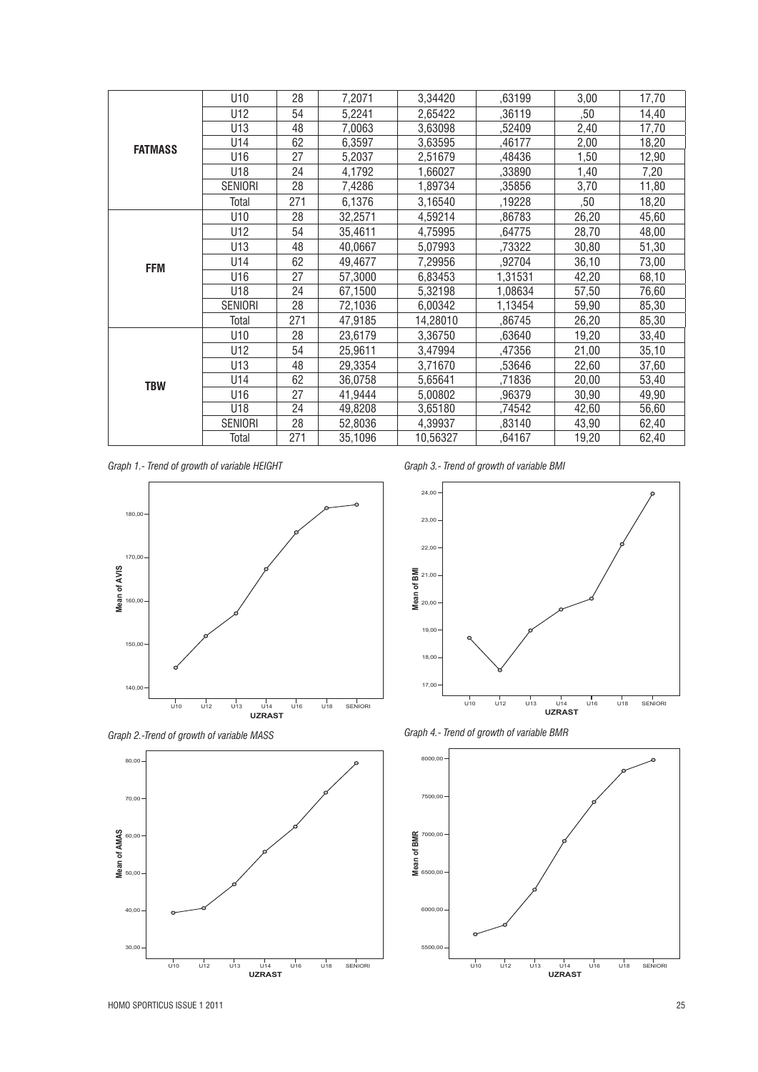| <b>FATMASS</b> | U10            | 28  | 7,2071  | 3,34420  | ,63199  | 3,00  | 17,70 |
|----------------|----------------|-----|---------|----------|---------|-------|-------|
|                | U12            | 54  | 5,2241  | 2,65422  | ,36119  | ,50   | 14,40 |
|                | U13            | 48  | 7,0063  | 3,63098  | ,52409  | 2,40  | 17,70 |
|                | U14            | 62  | 6,3597  | 3,63595  | ,46177  | 2,00  | 18,20 |
|                | U16            | 27  | 5,2037  | 2,51679  | ,48436  | 1,50  | 12,90 |
|                | U18            | 24  | 4,1792  | 1,66027  | ,33890  | 1,40  | 7,20  |
|                | SENIORI        | 28  | 7,4286  | 1,89734  | ,35856  | 3,70  | 11,80 |
|                | Total          | 271 | 6,1376  | 3,16540  | ,19228  | ,50   | 18,20 |
|                | U10            | 28  | 32,2571 | 4,59214  | ,86783  | 26,20 | 45,60 |
|                | U12            | 54  | 35,4611 | 4,75995  | ,64775  | 28,70 | 48,00 |
| <b>FFM</b>     | U13            | 48  | 40,0667 | 5,07993  | ,73322  | 30,80 | 51,30 |
|                | U14            | 62  | 49,4677 | 7,29956  | ,92704  | 36,10 | 73,00 |
|                | U16            | 27  | 57,3000 | 6,83453  | 1,31531 | 42,20 | 68,10 |
|                | U18            | 24  | 67,1500 | 5,32198  | 1,08634 | 57,50 | 76,60 |
|                | SENIORI        | 28  | 72,1036 | 6,00342  | 1,13454 | 59,90 | 85,30 |
|                | Total          | 271 | 47,9185 | 14,28010 | ,86745  | 26,20 | 85,30 |
| <b>TBW</b>     | U10            | 28  | 23,6179 | 3,36750  | ,63640  | 19,20 | 33,40 |
|                | U12            | 54  | 25,9611 | 3,47994  | ,47356  | 21,00 | 35,10 |
|                | U13            | 48  | 29,3354 | 3,71670  | ,53646  | 22,60 | 37,60 |
|                | U14            | 62  | 36,0758 | 5,65641  | ,71836  | 20,00 | 53,40 |
|                | U16            | 27  | 41,9444 | 5,00802  | ,96379  | 30,90 | 49,90 |
|                | U18            | 24  | 49,8208 | 3,65180  | ,74542  | 42,60 | 56,60 |
|                | <b>SENIORI</b> | 28  | 52,8036 | 4,39937  | ,83140  | 43,90 | 62,40 |
|                | Total          | 271 | 35,1096 | 10,56327 | ,64167  | 19,20 | 62,40 |

*Graph 1.- Trend of growth of variable HEIGHT*







*Graph 3.- Trend of growth of variable BMI*





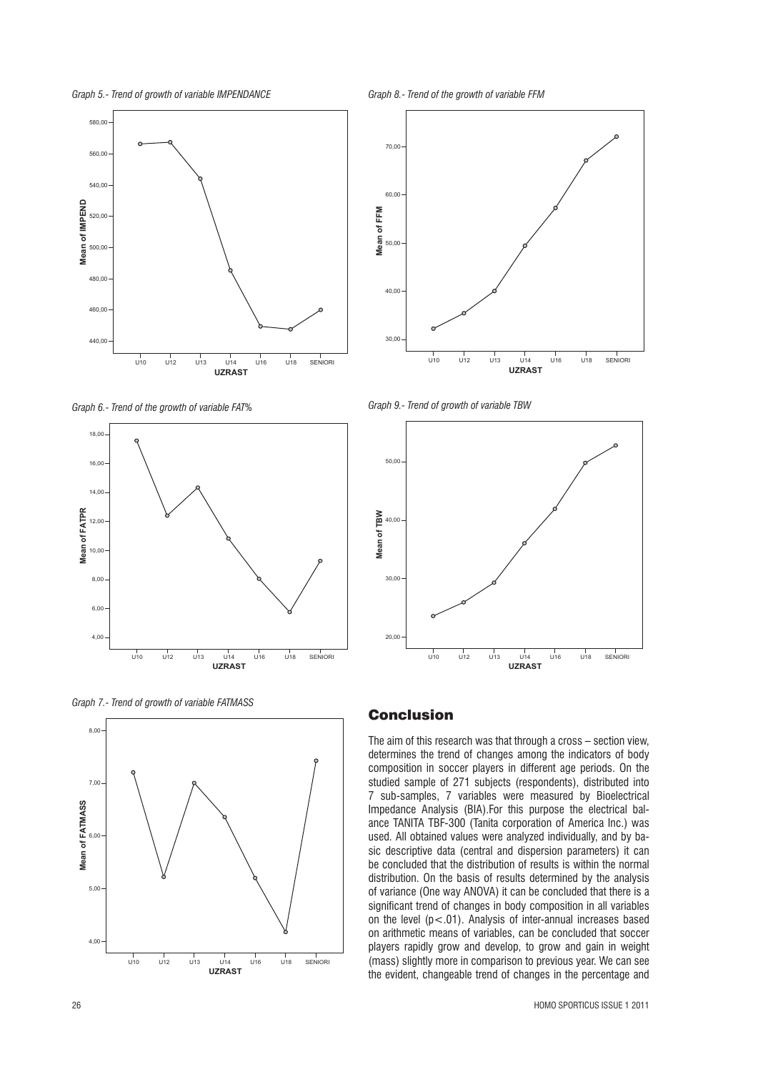



*Graph 6.- Trend of the growth of variable FAT%*







*Graph 8.- Trend of the growth of variable FFM*



*Graph 9.- Trend of growth of variable TBW*



#### Conclusion

The aim of this research was that through a cross – section view, determines the trend of changes among the indicators of body composition in soccer players in different age periods. On the studied sample of 271 subjects (respondents), distributed into 7 sub-samples, 7 variables were measured by Bioelectrical Impedance Analysis (BIA).For this purpose the electrical balance TANITA TBF-300 (Tanita corporation of America Inc.) was used. All obtained values were analyzed individually, and by basic descriptive data (central and dispersion parameters) it can be concluded that the distribution of results is within the normal distribution. On the basis of results determined by the analysis of variance (One way ANOVA) it can be concluded that there is a significant trend of changes in body composition in all variables on the level  $(p<.01)$ . Analysis of inter-annual increases based on arithmetic means of variables, can be concluded that soccer players rapidly grow and develop, to grow and gain in weight (mass) slightly more in comparison to previous year. We can see the evident, changeable trend of changes in the percentage and